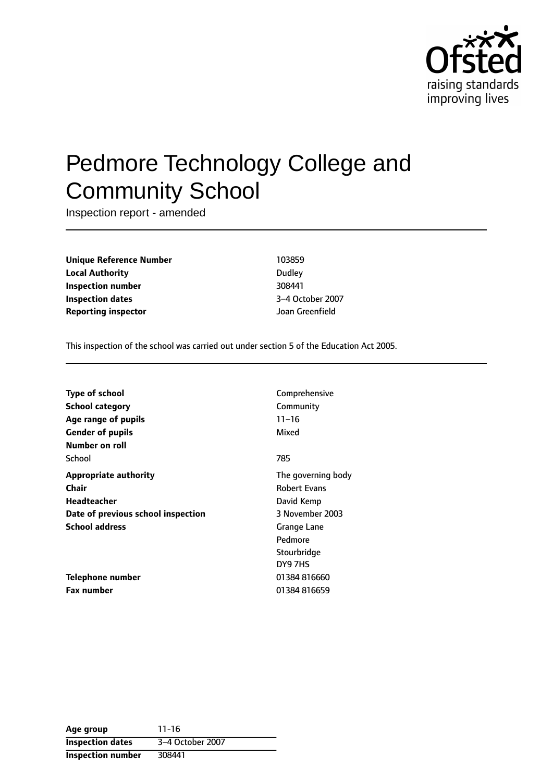

# Pedmore Technology College and Community School

Inspection report - amended

**Unique Reference Number** 103859 **Local Authority** Dudley **Inspection number** 308441 **Inspection dates** 3-4 October 2007 **Reporting inspector** Joan Greenfield

This inspection of the school was carried out under section 5 of the Education Act 2005.

| <b>Type of school</b><br>School category<br>Age range of pupils<br><b>Gender of pupils</b><br>Number on roll        | Comprehensive<br>Community<br>$11 - 16$<br>Mixed                                                                               |
|---------------------------------------------------------------------------------------------------------------------|--------------------------------------------------------------------------------------------------------------------------------|
| School                                                                                                              | 785                                                                                                                            |
| <b>Appropriate authority</b><br>Chair<br>Headteacher<br>Date of previous school inspection<br><b>School address</b> | The governing body<br><b>Robert Evans</b><br>David Kemp<br>3 November 2003<br>Grange Lane<br>Pedmore<br>Stourbridge<br>DY9 7HS |
| Telephone number<br><b>Fax number</b>                                                                               | 01384 816660<br>01384816659                                                                                                    |

**Age group** 11-16 **Inspection dates** 3-4 October 2007 **Inspection number** 308441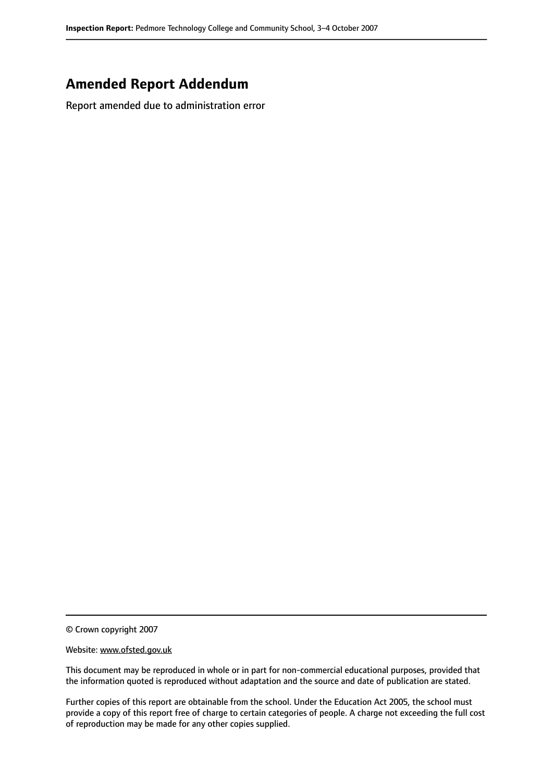## **Amended Report Addendum**

Report amended due to administration error

© Crown copyright 2007

#### Website: www.ofsted.gov.uk

This document may be reproduced in whole or in part for non-commercial educational purposes, provided that the information quoted is reproduced without adaptation and the source and date of publication are stated.

Further copies of this report are obtainable from the school. Under the Education Act 2005, the school must provide a copy of this report free of charge to certain categories of people. A charge not exceeding the full cost of reproduction may be made for any other copies supplied.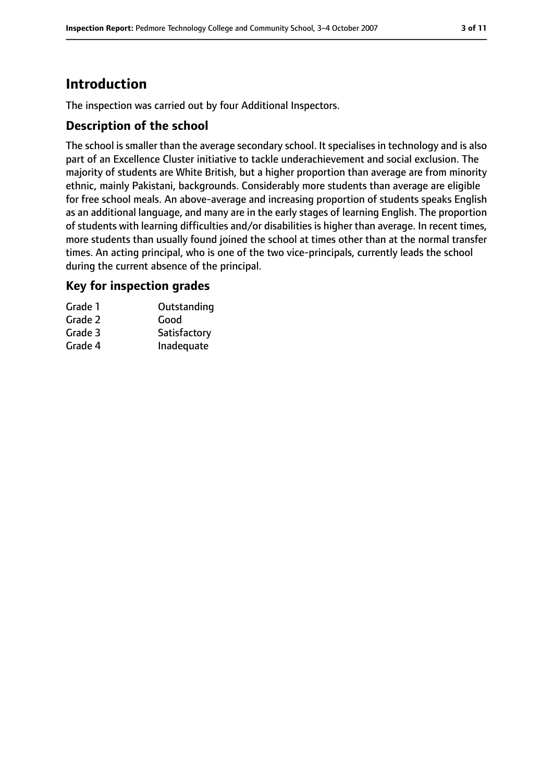# **Introduction**

The inspection was carried out by four Additional Inspectors.

## **Description of the school**

The school is smaller than the average secondary school. It specialises in technology and is also part of an Excellence Cluster initiative to tackle underachievement and social exclusion. The majority of students are White British, but a higher proportion than average are from minority ethnic, mainly Pakistani, backgrounds. Considerably more students than average are eligible for free school meals. An above-average and increasing proportion of students speaks English as an additional language, and many are in the early stages of learning English. The proportion of students with learning difficulties and/or disabilities is higher than average. In recent times, more students than usually found joined the school at times other than at the normal transfer times. An acting principal, who is one of the two vice-principals, currently leads the school during the current absence of the principal.

## **Key for inspection grades**

| Outstanding  |
|--------------|
| Good         |
| Satisfactory |
| Inadequate   |
|              |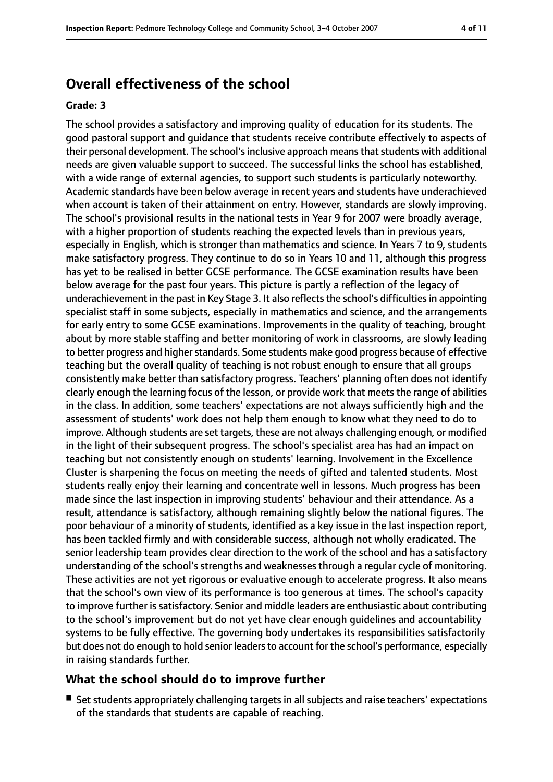# **Overall effectiveness of the school**

#### **Grade: 3**

The school provides a satisfactory and improving quality of education for its students. The good pastoral support and guidance that students receive contribute effectively to aspects of their personal development. The school'sinclusive approach meansthatstudents with additional needs are given valuable support to succeed. The successful links the school has established, with a wide range of external agencies, to support such students is particularly noteworthy. Academic standards have been below average in recent years and students have underachieved when account is taken of their attainment on entry. However, standards are slowly improving. The school's provisional results in the national tests in Year 9 for 2007 were broadly average, with a higher proportion of students reaching the expected levels than in previous years, especially in English, which is stronger than mathematics and science. In Years 7 to 9, students make satisfactory progress. They continue to do so in Years 10 and 11, although this progress has yet to be realised in better GCSE performance. The GCSE examination results have been below average for the past four years. This picture is partly a reflection of the legacy of underachievement in the past in Key Stage 3. It also reflects the school's difficulties in appointing specialist staff in some subjects, especially in mathematics and science, and the arrangements for early entry to some GCSE examinations. Improvements in the quality of teaching, brought about by more stable staffing and better monitoring of work in classrooms, are slowly leading to better progress and higher standards. Some students make good progress because of effective teaching but the overall quality of teaching is not robust enough to ensure that all groups consistently make better than satisfactory progress. Teachers' planning often does not identify clearly enough the learning focus of the lesson, or provide work that meets the range of abilities in the class. In addition, some teachers' expectations are not always sufficiently high and the assessment of students' work does not help them enough to know what they need to do to improve. Although students are set targets, these are not always challenging enough, or modified in the light of their subsequent progress. The school's specialist area has had an impact on teaching but not consistently enough on students' learning. Involvement in the Excellence Cluster is sharpening the focus on meeting the needs of gifted and talented students. Most students really enjoy their learning and concentrate well in lessons. Much progress has been made since the last inspection in improving students' behaviour and their attendance. As a result, attendance is satisfactory, although remaining slightly below the national figures. The poor behaviour of a minority of students, identified as a key issue in the last inspection report, has been tackled firmly and with considerable success, although not wholly eradicated. The senior leadership team provides clear direction to the work of the school and has a satisfactory understanding of the school's strengths and weaknesses through a regular cycle of monitoring. These activities are not yet rigorous or evaluative enough to accelerate progress. It also means that the school's own view of its performance is too generous at times. The school's capacity to improve further is satisfactory. Senior and middle leaders are enthusiastic about contributing to the school's improvement but do not yet have clear enough guidelines and accountability systems to be fully effective. The governing body undertakes its responsibilities satisfactorily but does not do enough to hold senior leaders to account for the school's performance, especially in raising standards further.

## **What the school should do to improve further**

■ Set students appropriately challenging targets in all subjects and raise teachers' expectations of the standards that students are capable of reaching.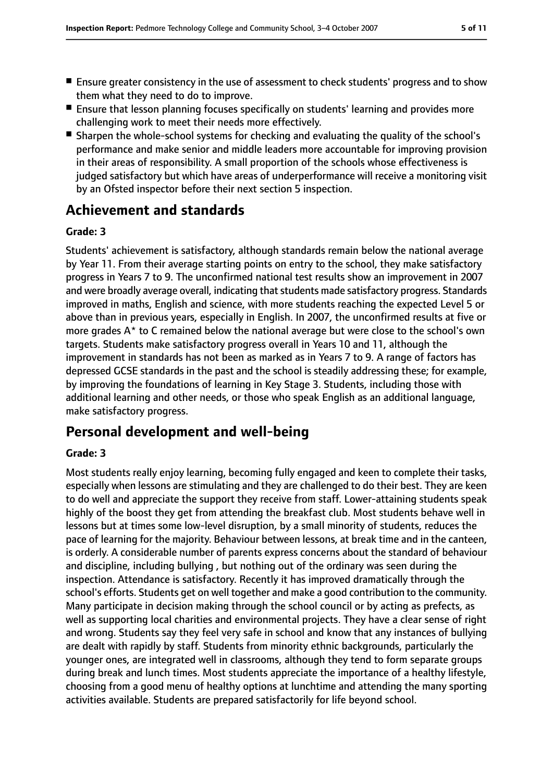- Ensure greater consistency in the use of assessment to check students' progress and to show them what they need to do to improve.
- Ensure that lesson planning focuses specifically on students' learning and provides more challenging work to meet their needs more effectively.
- Sharpen the whole-school systems for checking and evaluating the quality of the school's performance and make senior and middle leaders more accountable for improving provision in their areas of responsibility. A small proportion of the schools whose effectiveness is judged satisfactory but which have areas of underperformance will receive a monitoring visit by an Ofsted inspector before their next section 5 inspection.

# **Achievement and standards**

## **Grade: 3**

Students' achievement is satisfactory, although standards remain below the national average by Year 11. From their average starting points on entry to the school, they make satisfactory progress in Years 7 to 9. The unconfirmed national test results show an improvement in 2007 and were broadly average overall, indicating that students made satisfactory progress. Standards improved in maths, English and science, with more students reaching the expected Level 5 or above than in previous years, especially in English. In 2007, the unconfirmed results at five or more grades A\* to C remained below the national average but were close to the school's own targets. Students make satisfactory progress overall in Years 10 and 11, although the improvement in standards has not been as marked as in Years 7 to 9. A range of factors has depressed GCSE standards in the past and the school is steadily addressing these; for example, by improving the foundations of learning in Key Stage 3. Students, including those with additional learning and other needs, or those who speak English as an additional language, make satisfactory progress.

# **Personal development and well-being**

### **Grade: 3**

Most students really enjoy learning, becoming fully engaged and keen to complete their tasks, especially when lessons are stimulating and they are challenged to do their best. They are keen to do well and appreciate the support they receive from staff. Lower-attaining students speak highly of the boost they get from attending the breakfast club. Most students behave well in lessons but at times some low-level disruption, by a small minority of students, reduces the pace of learning for the majority. Behaviour between lessons, at break time and in the canteen, is orderly. A considerable number of parents express concerns about the standard of behaviour and discipline, including bullying , but nothing out of the ordinary was seen during the inspection. Attendance is satisfactory. Recently it has improved dramatically through the school's efforts. Students get on well together and make a good contribution to the community. Many participate in decision making through the school council or by acting as prefects, as well as supporting local charities and environmental projects. They have a clear sense of right and wrong. Students say they feel very safe in school and know that any instances of bullying are dealt with rapidly by staff. Students from minority ethnic backgrounds, particularly the younger ones, are integrated well in classrooms, although they tend to form separate groups during break and lunch times. Most students appreciate the importance of a healthy lifestyle, choosing from a good menu of healthy options at lunchtime and attending the many sporting activities available. Students are prepared satisfactorily for life beyond school.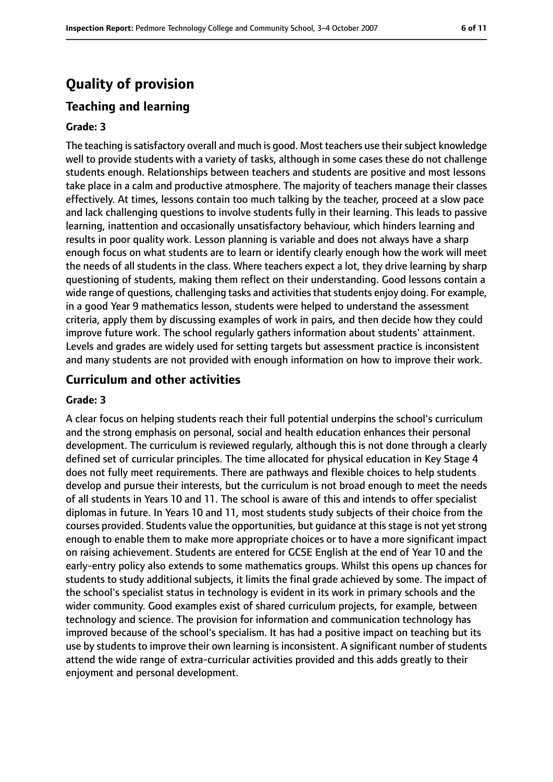# **Quality of provision**

## **Teaching and learning**

#### **Grade: 3**

The teaching is satisfactory overall and much is good. Most teachers use their subject knowledge well to provide students with a variety of tasks, although in some cases these do not challenge students enough. Relationships between teachers and students are positive and most lessons take place in a calm and productive atmosphere. The majority of teachers manage their classes effectively. At times, lessons contain too much talking by the teacher, proceed at a slow pace and lack challenging questions to involve students fully in their learning. This leads to passive learning, inattention and occasionally unsatisfactory behaviour, which hinders learning and results in poor quality work. Lesson planning is variable and does not always have a sharp enough focus on what students are to learn or identify clearly enough how the work will meet the needs of all students in the class. Where teachers expect a lot, they drive learning by sharp questioning of students, making them reflect on their understanding. Good lessons contain a wide range of questions, challenging tasks and activities that students enjoy doing. For example, in a good Year 9 mathematics lesson, students were helped to understand the assessment criteria, apply them by discussing examples of work in pairs, and then decide how they could improve future work. The school regularly gathers information about students' attainment. Levels and grades are widely used for setting targets but assessment practice is inconsistent and many students are not provided with enough information on how to improve their work.

#### **Curriculum and other activities**

#### **Grade: 3**

A clear focus on helping students reach their full potential underpins the school's curriculum and the strong emphasis on personal, social and health education enhances their personal development. The curriculum is reviewed regularly, although this is not done through a clearly defined set of curricular principles. The time allocated for physical education in Key Stage 4 does not fully meet requirements. There are pathways and flexible choices to help students develop and pursue their interests, but the curriculum is not broad enough to meet the needs of all students in Years 10 and 11. The school is aware of this and intends to offer specialist diplomas in future. In Years 10 and 11, most students study subjects of their choice from the courses provided. Students value the opportunities, but guidance at this stage is not yet strong enough to enable them to make more appropriate choices or to have a more significant impact on raising achievement. Students are entered for GCSE English at the end of Year 10 and the early-entry policy also extends to some mathematics groups. Whilst this opens up chances for students to study additional subjects, it limits the final grade achieved by some. The impact of the school's specialist status in technology is evident in its work in primary schools and the wider community. Good examples exist of shared curriculum projects, for example, between technology and science. The provision for information and communication technology has improved because of the school's specialism. It has had a positive impact on teaching but its use by students to improve their own learning is inconsistent. A significant number of students attend the wide range of extra-curricular activities provided and this adds greatly to their enjoyment and personal development.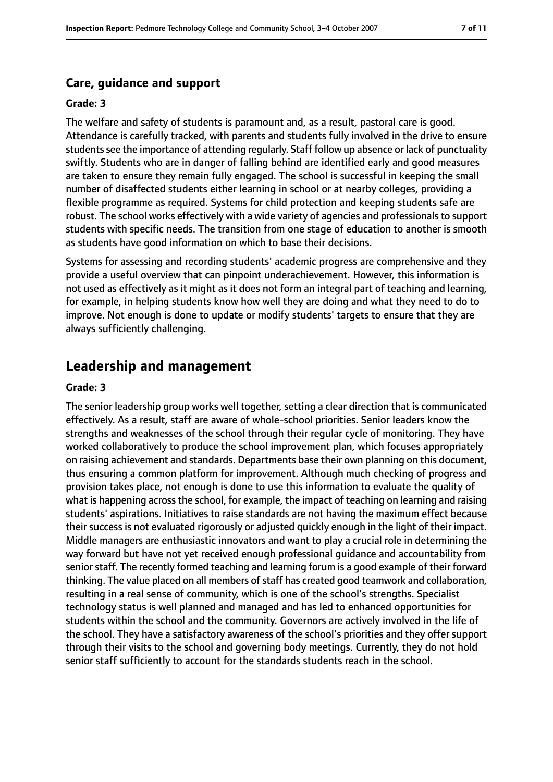## **Care, guidance and support**

#### **Grade: 3**

The welfare and safety of students is paramount and, as a result, pastoral care is good. Attendance is carefully tracked, with parents and students fully involved in the drive to ensure students see the importance of attending regularly. Staff follow up absence or lack of punctuality swiftly. Students who are in danger of falling behind are identified early and good measures are taken to ensure they remain fully engaged. The school is successful in keeping the small number of disaffected students either learning in school or at nearby colleges, providing a flexible programme as required. Systems for child protection and keeping students safe are robust. The school works effectively with a wide variety of agencies and professionals to support students with specific needs. The transition from one stage of education to another is smooth as students have good information on which to base their decisions.

Systems for assessing and recording students' academic progress are comprehensive and they provide a useful overview that can pinpoint underachievement. However, this information is not used as effectively as it might as it does not form an integral part of teaching and learning, for example, in helping students know how well they are doing and what they need to do to improve. Not enough is done to update or modify students' targets to ensure that they are always sufficiently challenging.

## **Leadership and management**

#### **Grade: 3**

The senior leadership group works well together, setting a clear direction that is communicated effectively. As a result, staff are aware of whole-school priorities. Senior leaders know the strengths and weaknesses of the school through their regular cycle of monitoring. They have worked collaboratively to produce the school improvement plan, which focuses appropriately on raising achievement and standards. Departments base their own planning on this document, thus ensuring a common platform for improvement. Although much checking of progress and provision takes place, not enough is done to use this information to evaluate the quality of what is happening across the school, for example, the impact of teaching on learning and raising students' aspirations. Initiatives to raise standards are not having the maximum effect because their success is not evaluated rigorously or adjusted quickly enough in the light of their impact. Middle managers are enthusiastic innovators and want to play a crucial role in determining the way forward but have not yet received enough professional guidance and accountability from senior staff. The recently formed teaching and learning forum is a good example of their forward thinking. The value placed on all members of staff has created good teamwork and collaboration, resulting in a real sense of community, which is one of the school's strengths. Specialist technology status is well planned and managed and has led to enhanced opportunities for students within the school and the community. Governors are actively involved in the life of the school. They have a satisfactory awareness of the school's priorities and they offer support through their visits to the school and governing body meetings. Currently, they do not hold senior staff sufficiently to account for the standards students reach in the school.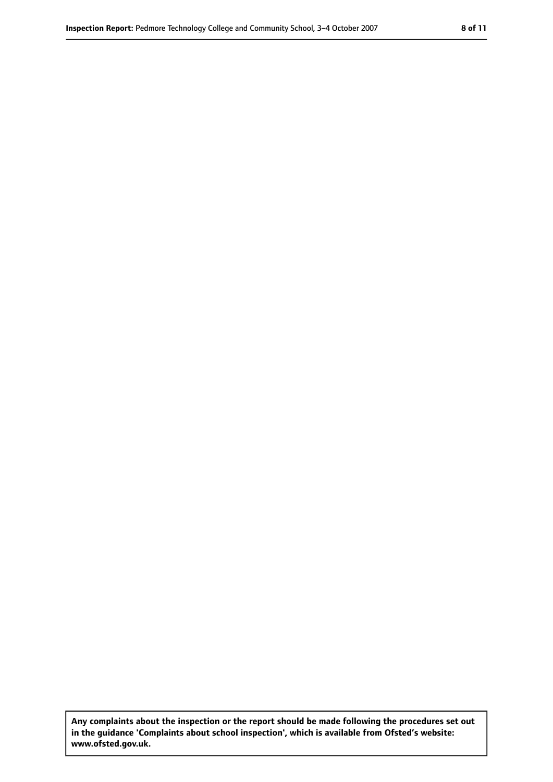**Any complaints about the inspection or the report should be made following the procedures set out in the guidance 'Complaints about school inspection', which is available from Ofsted's website: www.ofsted.gov.uk.**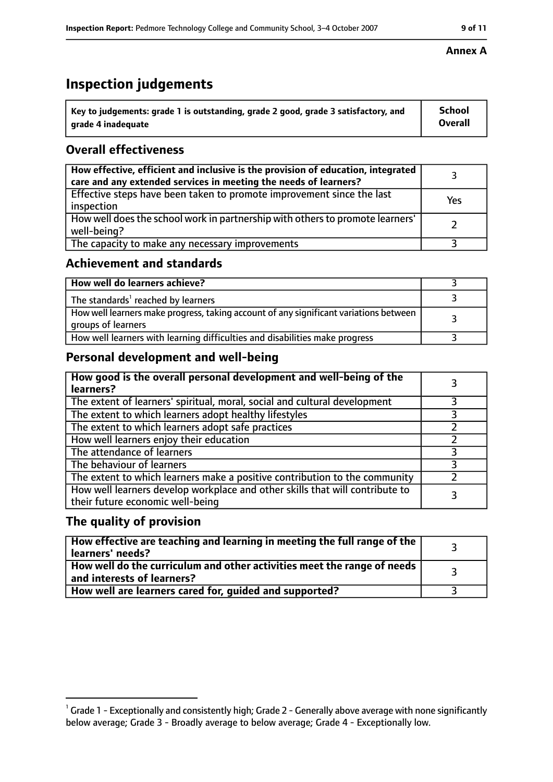# **Inspection judgements**

| $^{\backprime}$ Key to judgements: grade 1 is outstanding, grade 2 good, grade 3 satisfactory, and | School         |
|----------------------------------------------------------------------------------------------------|----------------|
| arade 4 inadequate                                                                                 | <b>Overall</b> |

## **Overall effectiveness**

| How effective, efficient and inclusive is the provision of education, integrated<br>care and any extended services in meeting the needs of learners? |     |
|------------------------------------------------------------------------------------------------------------------------------------------------------|-----|
| Effective steps have been taken to promote improvement since the last<br>inspection                                                                  | Yes |
| How well does the school work in partnership with others to promote learners'<br>well-being?                                                         |     |
| The capacity to make any necessary improvements                                                                                                      |     |

## **Achievement and standards**

| How well do learners achieve?                                                                               |  |
|-------------------------------------------------------------------------------------------------------------|--|
| The standards <sup>1</sup> reached by learners                                                              |  |
| How well learners make progress, taking account of any significant variations between<br>groups of learners |  |
| How well learners with learning difficulties and disabilities make progress                                 |  |

## **Personal development and well-being**

| How good is the overall personal development and well-being of the<br>learners?                                  |  |
|------------------------------------------------------------------------------------------------------------------|--|
| The extent of learners' spiritual, moral, social and cultural development                                        |  |
| The extent to which learners adopt healthy lifestyles                                                            |  |
| The extent to which learners adopt safe practices                                                                |  |
| How well learners enjoy their education                                                                          |  |
| The attendance of learners                                                                                       |  |
| The behaviour of learners                                                                                        |  |
| The extent to which learners make a positive contribution to the community                                       |  |
| How well learners develop workplace and other skills that will contribute to<br>their future economic well-being |  |

## **The quality of provision**

| How effective are teaching and learning in meeting the full range of the<br>learners' needs?                     |  |
|------------------------------------------------------------------------------------------------------------------|--|
| How well do the curriculum and other activities meet the range of needs<br>$^{\rm t}$ and interests of learners? |  |
| How well are learners cared for, guided and supported?                                                           |  |

## **Annex A**

 $^1$  Grade 1 - Exceptionally and consistently high; Grade 2 - Generally above average with none significantly below average; Grade 3 - Broadly average to below average; Grade 4 - Exceptionally low.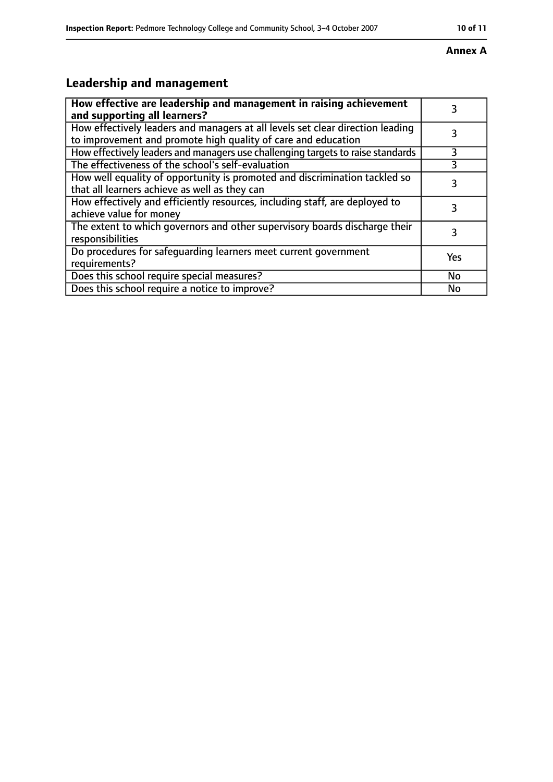#### **Annex A**

# **Leadership and management**

| How effective are leadership and management in raising achievement<br>and supporting all learners?                                              |           |
|-------------------------------------------------------------------------------------------------------------------------------------------------|-----------|
| How effectively leaders and managers at all levels set clear direction leading<br>to improvement and promote high quality of care and education |           |
| How effectively leaders and managers use challenging targets to raise standards                                                                 | 3         |
| The effectiveness of the school's self-evaluation                                                                                               | 3         |
| How well equality of opportunity is promoted and discrimination tackled so<br>that all learners achieve as well as they can                     | 3         |
| How effectively and efficiently resources, including staff, are deployed to<br>achieve value for money                                          | 3         |
| The extent to which governors and other supervisory boards discharge their<br>responsibilities                                                  | 3         |
| Do procedures for safequarding learners meet current government<br>requirements?                                                                | Yes       |
| Does this school require special measures?                                                                                                      | <b>No</b> |
| Does this school require a notice to improve?                                                                                                   | No        |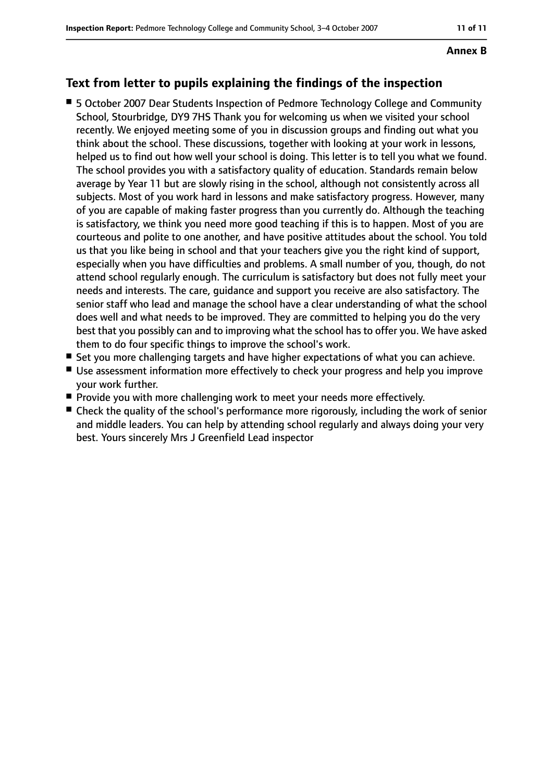# **Annex B**

## **Text from letter to pupils explaining the findings of the inspection**

- 5 October 2007 Dear Students Inspection of Pedmore Technology College and Community School, Stourbridge, DY9 7HS Thank you for welcoming us when we visited your school recently. We enjoyed meeting some of you in discussion groups and finding out what you think about the school. These discussions, together with looking at your work in lessons, helped us to find out how well your school is doing. This letter is to tell you what we found. The school provides you with a satisfactory quality of education. Standards remain below average by Year 11 but are slowly rising in the school, although not consistently across all subjects. Most of you work hard in lessons and make satisfactory progress. However, many of you are capable of making faster progress than you currently do. Although the teaching is satisfactory, we think you need more good teaching if this is to happen. Most of you are courteous and polite to one another, and have positive attitudes about the school. You told us that you like being in school and that your teachers give you the right kind of support, especially when you have difficulties and problems. A small number of you, though, do not attend school regularly enough. The curriculum is satisfactory but does not fully meet your needs and interests. The care, guidance and support you receive are also satisfactory. The senior staff who lead and manage the school have a clear understanding of what the school does well and what needs to be improved. They are committed to helping you do the very best that you possibly can and to improving what the school has to offer you. We have asked them to do four specific things to improve the school's work.
- Set you more challenging targets and have higher expectations of what you can achieve.
- Use assessment information more effectively to check your progress and help you improve your work further.
- Provide you with more challenging work to meet your needs more effectively.
- Check the quality of the school's performance more rigorously, including the work of senior and middle leaders. You can help by attending school regularly and always doing your very best. Yours sincerely Mrs J Greenfield Lead inspector